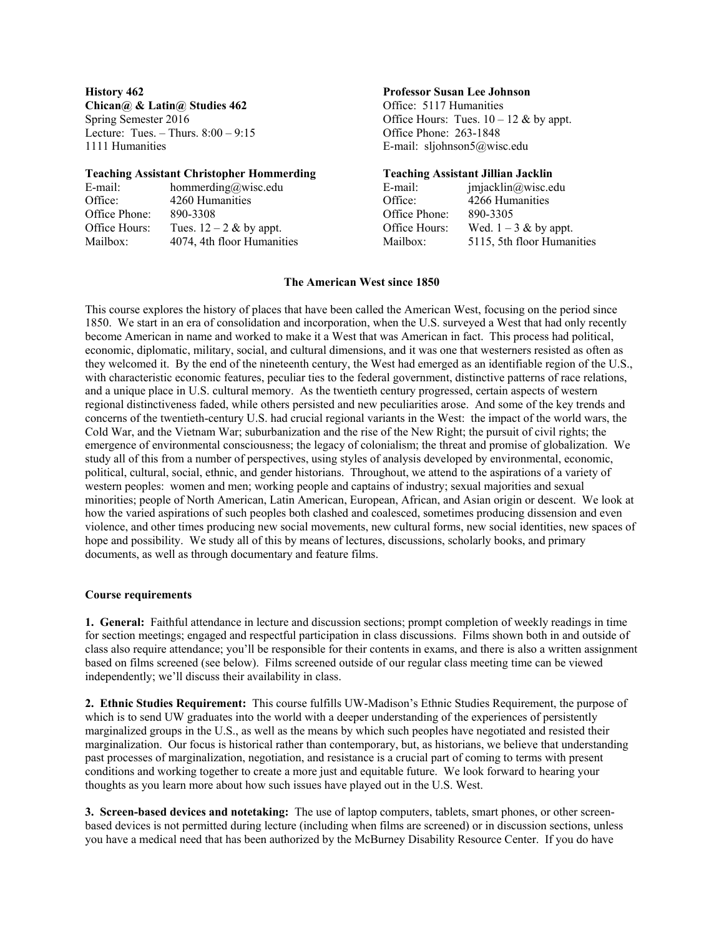**Chican** $\omega$  & Latin $\omega$  Studies 462 **Office: 5117 Humanities** Lecture: Tues. – Thurs. 8:00 – 9:15 Office Phone: 263-1848 1111 Humanities E-mail: sljohnson5@wisc.edu

#### **Teaching Assistant Christopher Hommerding****Teaching Assistant Jillian Jacklin**

| E-mail:       | hommerding@wisc.edu        | E-mail:       | imiacklin@wise.edu         |
|---------------|----------------------------|---------------|----------------------------|
| Office:       | 4260 Humanities            | Office:       | 4266 Humanities            |
| Office Phone: | 890-3308                   | Office Phone: | 890-3305                   |
| Office Hours: | Tues. $12 - 2$ & by appt.  | Office Hours: | Wed. $1 - 3$ & by appt.    |
| Mailbox:      | 4074, 4th floor Humanities | Mailbox:      | 5115, 5th floor Humanities |

# **History 462 Professor Susan Lee Johnson**

Spring Semester 2016 Communication Communication Communication Communication Communication Communication Communication Communication Communication Communication Communication Communication Communication Communication Commu

| -mail:               | jmjacklin@wisc.edu         |
|----------------------|----------------------------|
| )ffice:              | 4266 Humanities            |
| )ffice Phone:        | 890-3305                   |
| <b>Mental</b> Hours: | Wed. $1 - 3$ & by appt.    |
| ailbox:              | 5115, 5th floor Humanities |
|                      |                            |

# **The American West since 1850**

This course explores the history of places that have been called the American West, focusing on the period since 1850. We start in an era of consolidation and incorporation, when the U.S. surveyed a West that had only recently become American in name and worked to make it a West that was American in fact. This process had political, economic, diplomatic, military, social, and cultural dimensions, and it was one that westerners resisted as often as they welcomed it. By the end of the nineteenth century, the West had emerged as an identifiable region of the U.S., with characteristic economic features, peculiar ties to the federal government, distinctive patterns of race relations, and a unique place in U.S. cultural memory. As the twentieth century progressed, certain aspects of western regional distinctiveness faded, while others persisted and new peculiarities arose. And some of the key trends and concerns of the twentieth-century U.S. had crucial regional variants in the West: the impact of the world wars, the Cold War, and the Vietnam War; suburbanization and the rise of the New Right; the pursuit of civil rights; the emergence of environmental consciousness; the legacy of colonialism; the threat and promise of globalization. We study all of this from a number of perspectives, using styles of analysis developed by environmental, economic, political, cultural, social, ethnic, and gender historians. Throughout, we attend to the aspirations of a variety of western peoples: women and men; working people and captains of industry; sexual majorities and sexual minorities; people of North American, Latin American, European, African, and Asian origin or descent. We look at how the varied aspirations of such peoples both clashed and coalesced, sometimes producing dissension and even violence, and other times producing new social movements, new cultural forms, new social identities, new spaces of hope and possibility. We study all of this by means of lectures, discussions, scholarly books, and primary documents, as well as through documentary and feature films.

#### **Course requirements**

**1. General:** Faithful attendance in lecture and discussion sections; prompt completion of weekly readings in time for section meetings; engaged and respectful participation in class discussions. Films shown both in and outside of class also require attendance; you'll be responsible for their contents in exams, and there is also a written assignment based on films screened (see below). Films screened outside of our regular class meeting time can be viewed independently; we'll discuss their availability in class.

**2. Ethnic Studies Requirement:** This course fulfills UW-Madison's Ethnic Studies Requirement, the purpose of which is to send UW graduates into the world with a deeper understanding of the experiences of persistently marginalized groups in the U.S., as well as the means by which such peoples have negotiated and resisted their marginalization. Our focus is historical rather than contemporary, but, as historians, we believe that understanding past processes of marginalization, negotiation, and resistance is a crucial part of coming to terms with present conditions and working together to create a more just and equitable future. We look forward to hearing your thoughts as you learn more about how such issues have played out in the U.S. West.

**3. Screen-based devices and notetaking:** The use of laptop computers, tablets, smart phones, or other screenbased devices is not permitted during lecture (including when films are screened) or in discussion sections, unless you have a medical need that has been authorized by the McBurney Disability Resource Center. If you do have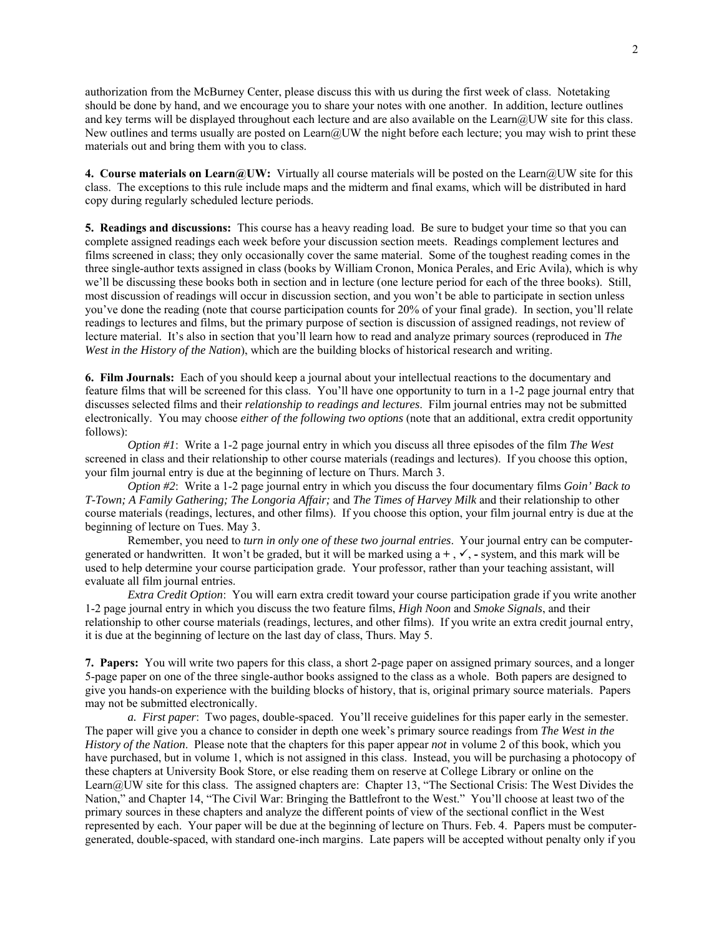authorization from the McBurney Center, please discuss this with us during the first week of class. Notetaking should be done by hand, and we encourage you to share your notes with one another. In addition, lecture outlines and key terms will be displayed throughout each lecture and are also available on the Learn@UW site for this class. New outlines and terms usually are posted on Learn@UW the night before each lecture; you may wish to print these materials out and bring them with you to class.

**4. Course materials on Learn@UW:** Virtually all course materials will be posted on the Learn@UW site for this class. The exceptions to this rule include maps and the midterm and final exams, which will be distributed in hard copy during regularly scheduled lecture periods.

**5. Readings and discussions:** This course has a heavy reading load. Be sure to budget your time so that you can complete assigned readings each week before your discussion section meets. Readings complement lectures and films screened in class; they only occasionally cover the same material. Some of the toughest reading comes in the three single-author texts assigned in class (books by William Cronon, Monica Perales, and Eric Avila), which is why we'll be discussing these books both in section and in lecture (one lecture period for each of the three books). Still, most discussion of readings will occur in discussion section, and you won't be able to participate in section unless you've done the reading (note that course participation counts for 20% of your final grade). In section, you'll relate readings to lectures and films, but the primary purpose of section is discussion of assigned readings, not review of lecture material. It's also in section that you'll learn how to read and analyze primary sources (reproduced in *The West in the History of the Nation*), which are the building blocks of historical research and writing.

**6. Film Journals:** Each of you should keep a journal about your intellectual reactions to the documentary and feature films that will be screened for this class. You'll have one opportunity to turn in a 1-2 page journal entry that discusses selected films and their *relationship to readings and lectures*. Film journal entries may not be submitted electronically. You may choose *either of the following two options* (note that an additional, extra credit opportunity follows):

*Option #1*: Write a 1-2 page journal entry in which you discuss all three episodes of the film *The West* screened in class and their relationship to other course materials (readings and lectures). If you choose this option, your film journal entry is due at the beginning of lecture on Thurs. March 3.

*Option #2*: Write a 1-2 page journal entry in which you discuss the four documentary films *Goin' Back to T-Town; A Family Gathering; The Longoria Affair;* and *The Times of Harvey Milk* and their relationship to other course materials (readings, lectures, and other films). If you choose this option, your film journal entry is due at the beginning of lecture on Tues. May 3.

Remember, you need to *turn in only one of these two journal entries*. Your journal entry can be computergenerated or handwritten. It won't be graded, but it will be marked using  $a +$ ,  $\checkmark$ , - system, and this mark will be used to help determine your course participation grade. Your professor, rather than your teaching assistant, will evaluate all film journal entries.

*Extra Credit Option*: You will earn extra credit toward your course participation grade if you write another 1-2 page journal entry in which you discuss the two feature films, *High Noon* and *Smoke Signals*, and their relationship to other course materials (readings, lectures, and other films). If you write an extra credit journal entry, it is due at the beginning of lecture on the last day of class, Thurs. May 5.

**7. Papers:** You will write two papers for this class, a short 2-page paper on assigned primary sources, and a longer 5-page paper on one of the three single-author books assigned to the class as a whole. Both papers are designed to give you hands-on experience with the building blocks of history, that is, original primary source materials. Papers may not be submitted electronically.

*a. First paper*: Two pages, double-spaced. You'll receive guidelines for this paper early in the semester. The paper will give you a chance to consider in depth one week's primary source readings from *The West in the History of the Nation*. Please note that the chapters for this paper appear *not* in volume 2 of this book, which you have purchased, but in volume 1, which is not assigned in this class. Instead, you will be purchasing a photocopy of these chapters at University Book Store, or else reading them on reserve at College Library or online on the Learn@UW site for this class. The assigned chapters are: Chapter 13, "The Sectional Crisis: The West Divides the Nation," and Chapter 14, "The Civil War: Bringing the Battlefront to the West." You'll choose at least two of the primary sources in these chapters and analyze the different points of view of the sectional conflict in the West represented by each. Your paper will be due at the beginning of lecture on Thurs. Feb. 4.Papers must be computergenerated, double-spaced, with standard one-inch margins. Late papers will be accepted without penalty only if you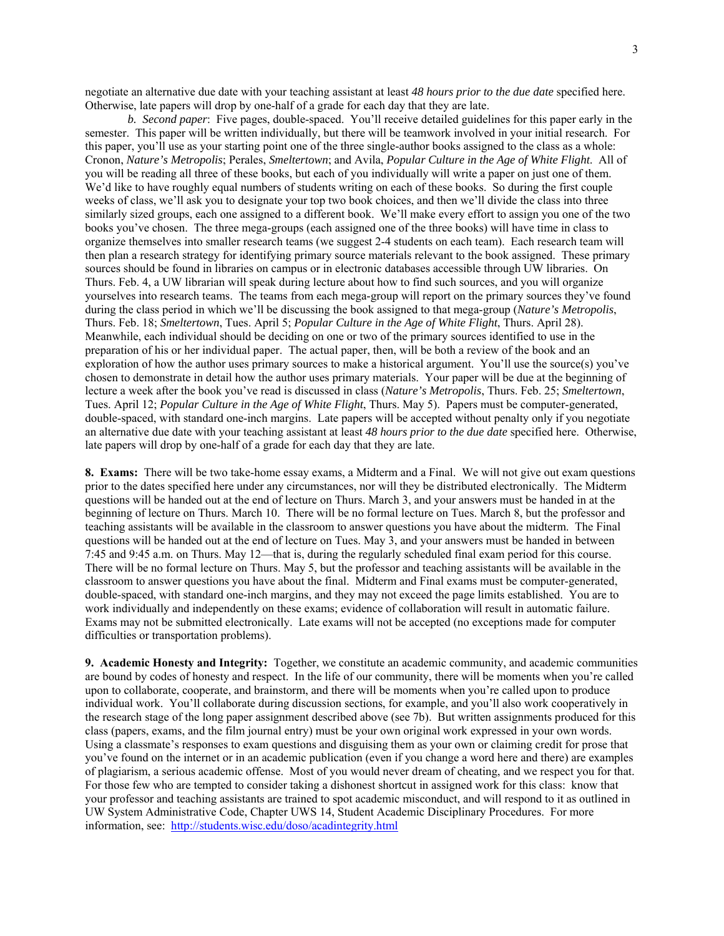negotiate an alternative due date with your teaching assistant at least *48 hours prior to the due date* specified here. Otherwise, late papers will drop by one-half of a grade for each day that they are late.

*b. Second paper*: Five pages, double-spaced. You'll receive detailed guidelines for this paper early in the semester. This paper will be written individually, but there will be teamwork involved in your initial research. For this paper, you'll use as your starting point one of the three single-author books assigned to the class as a whole: Cronon, *Nature's Metropolis*; Perales, *Smeltertown*; and Avila, *Popular Culture in the Age of White Flight*. All of you will be reading all three of these books, but each of you individually will write a paper on just one of them. We'd like to have roughly equal numbers of students writing on each of these books. So during the first couple weeks of class, we'll ask you to designate your top two book choices, and then we'll divide the class into three similarly sized groups, each one assigned to a different book. We'll make every effort to assign you one of the two books you've chosen. The three mega-groups (each assigned one of the three books) will have time in class to organize themselves into smaller research teams (we suggest 2-4 students on each team). Each research team will then plan a research strategy for identifying primary source materials relevant to the book assigned. These primary sources should be found in libraries on campus or in electronic databases accessible through UW libraries. On Thurs. Feb. 4, a UW librarian will speak during lecture about how to find such sources, and you will organize yourselves into research teams. The teams from each mega-group will report on the primary sources they've found during the class period in which we'll be discussing the book assigned to that mega-group (*Nature's Metropolis*, Thurs. Feb. 18; *Smeltertown*, Tues. April 5; *Popular Culture in the Age of White Flight*, Thurs. April 28). Meanwhile, each individual should be deciding on one or two of the primary sources identified to use in the preparation of his or her individual paper. The actual paper, then, will be both a review of the book and an exploration of how the author uses primary sources to make a historical argument. You'll use the source(s) you've chosen to demonstrate in detail how the author uses primary materials. Your paper will be due at the beginning of lecture a week after the book you've read is discussed in class (*Nature's Metropolis*, Thurs. Feb. 25; *Smeltertown*, Tues. April 12; *Popular Culture in the Age of White Flight*, Thurs. May 5). Papers must be computer-generated, double-spaced, with standard one-inch margins. Late papers will be accepted without penalty only if you negotiate an alternative due date with your teaching assistant at least *48 hours prior to the due date* specified here. Otherwise, late papers will drop by one-half of a grade for each day that they are late.

**8. Exams:** There will be two take-home essay exams, a Midterm and a Final. We will not give out exam questions prior to the dates specified here under any circumstances, nor will they be distributed electronically. The Midterm questions will be handed out at the end of lecture on Thurs. March 3, and your answers must be handed in at the beginning of lecture on Thurs. March 10. There will be no formal lecture on Tues. March 8, but the professor and teaching assistants will be available in the classroom to answer questions you have about the midterm. The Final questions will be handed out at the end of lecture on Tues. May 3, and your answers must be handed in between 7:45 and 9:45 a.m. on Thurs. May 12—that is, during the regularly scheduled final exam period for this course. There will be no formal lecture on Thurs. May 5, but the professor and teaching assistants will be available in the classroom to answer questions you have about the final. Midterm and Final exams must be computer-generated, double-spaced, with standard one-inch margins, and they may not exceed the page limits established. You are to work individually and independently on these exams; evidence of collaboration will result in automatic failure. Exams may not be submitted electronically. Late exams will not be accepted (no exceptions made for computer difficulties or transportation problems).

**9. Academic Honesty and Integrity:** Together, we constitute an academic community, and academic communities are bound by codes of honesty and respect. In the life of our community, there will be moments when you're called upon to collaborate, cooperate, and brainstorm, and there will be moments when you're called upon to produce individual work. You'll collaborate during discussion sections, for example, and you'll also work cooperatively in the research stage of the long paper assignment described above (see 7b). But written assignments produced for this class (papers, exams, and the film journal entry) must be your own original work expressed in your own words. Using a classmate's responses to exam questions and disguising them as your own or claiming credit for prose that you've found on the internet or in an academic publication (even if you change a word here and there) are examples of plagiarism, a serious academic offense. Most of you would never dream of cheating, and we respect you for that. For those few who are tempted to consider taking a dishonest shortcut in assigned work for this class: know that your professor and teaching assistants are trained to spot academic misconduct, and will respond to it as outlined in UW System Administrative Code, Chapter UWS 14, Student Academic Disciplinary Procedures. For more information, see: http://students.wisc.edu/doso/acadintegrity.html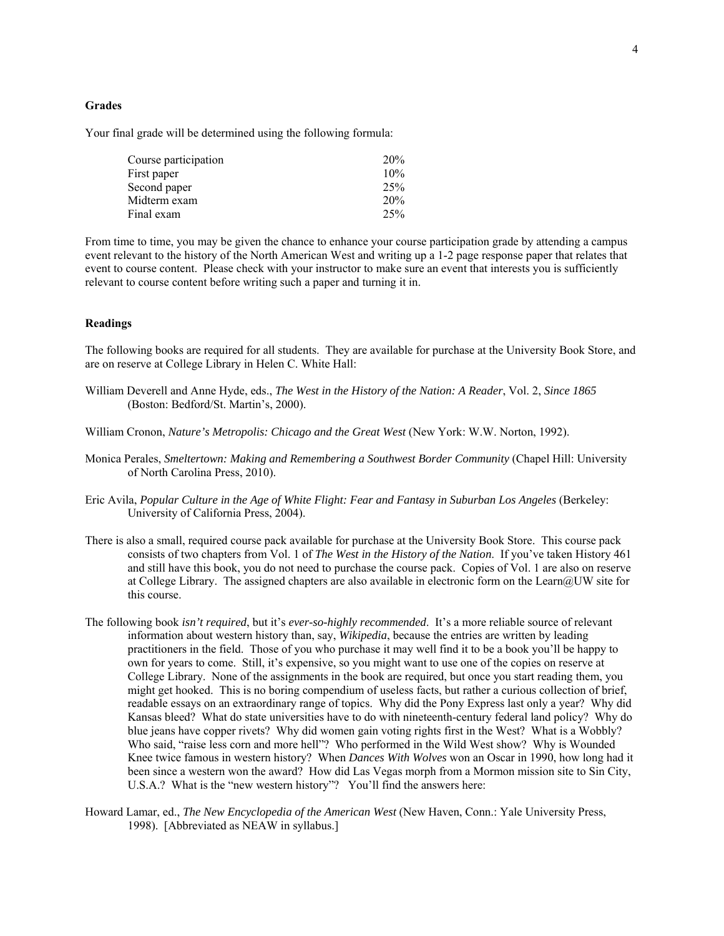#### **Grades**

Your final grade will be determined using the following formula:

| Course participation | 20% |
|----------------------|-----|
| First paper          | 10% |
| Second paper         | 25% |
| Midterm exam         | 20% |
| Final exam           | 25% |

From time to time, you may be given the chance to enhance your course participation grade by attending a campus event relevant to the history of the North American West and writing up a 1-2 page response paper that relates that event to course content. Please check with your instructor to make sure an event that interests you is sufficiently relevant to course content before writing such a paper and turning it in.

## **Readings**

The following books are required for all students. They are available for purchase at the University Book Store, and are on reserve at College Library in Helen C. White Hall:

- William Deverell and Anne Hyde, eds., *The West in the History of the Nation: A Reader*, Vol. 2, *Since 1865* (Boston: Bedford/St. Martin's, 2000).
- William Cronon, *Nature's Metropolis: Chicago and the Great West* (New York: W.W. Norton, 1992).
- Monica Perales, *Smeltertown: Making and Remembering a Southwest Border Community* (Chapel Hill: University of North Carolina Press, 2010).
- Eric Avila, *Popular Culture in the Age of White Flight: Fear and Fantasy in Suburban Los Angeles* (Berkeley: University of California Press, 2004).
- There is also a small, required course pack available for purchase at the University Book Store. This course pack consists of two chapters from Vol. 1 of *The West in the History of the Nation*. If you've taken History 461 and still have this book, you do not need to purchase the course pack. Copies of Vol. 1 are also on reserve at College Library. The assigned chapters are also available in electronic form on the Learn@UW site for this course.
- The following book *isn't required*, but it's *ever-so-highly recommended*. It's a more reliable source of relevant information about western history than, say, *Wikipedia*, because the entries are written by leading practitioners in the field. Those of you who purchase it may well find it to be a book you'll be happy to own for years to come. Still, it's expensive, so you might want to use one of the copies on reserve at College Library. None of the assignments in the book are required, but once you start reading them, you might get hooked. This is no boring compendium of useless facts, but rather a curious collection of brief, readable essays on an extraordinary range of topics. Why did the Pony Express last only a year? Why did Kansas bleed? What do state universities have to do with nineteenth-century federal land policy? Why do blue jeans have copper rivets? Why did women gain voting rights first in the West? What is a Wobbly? Who said, "raise less corn and more hell"? Who performed in the Wild West show? Why is Wounded Knee twice famous in western history? When *Dances With Wolves* won an Oscar in 1990, how long had it been since a western won the award? How did Las Vegas morph from a Mormon mission site to Sin City, U.S.A.? What is the "new western history"? You'll find the answers here:
- Howard Lamar, ed., *The New Encyclopedia of the American West* (New Haven, Conn.: Yale University Press, 1998). [Abbreviated as NEAW in syllabus.]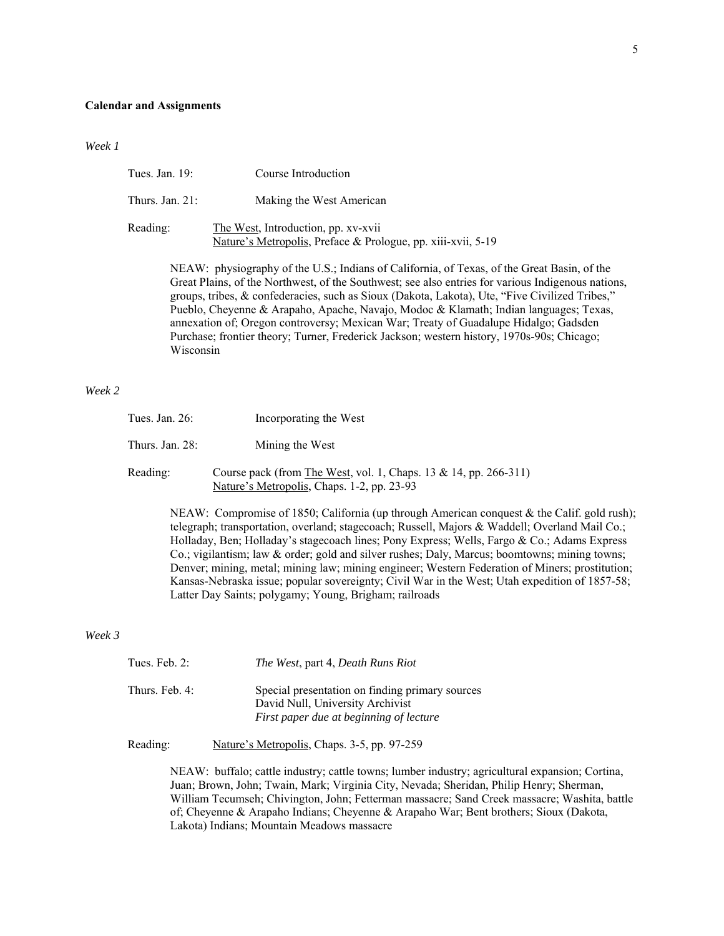#### **Calendar and Assignments**

*Week 1*

| Tues. Jan. $19$ :  | Course Introduction                                                                                 |
|--------------------|-----------------------------------------------------------------------------------------------------|
| Thurs. Jan. $21$ : | Making the West American                                                                            |
| Reading:           | The West, Introduction, pp. xv-xvii<br>Nature's Metropolis, Preface & Prologue, pp. xiii-xvii, 5-19 |

NEAW: physiography of the U.S.; Indians of California, of Texas, of the Great Basin, of the Great Plains, of the Northwest, of the Southwest; see also entries for various Indigenous nations, groups, tribes, & confederacies, such as Sioux (Dakota, Lakota), Ute, "Five Civilized Tribes," Pueblo, Cheyenne & Arapaho, Apache, Navajo, Modoc & Klamath; Indian languages; Texas, annexation of; Oregon controversy; Mexican War; Treaty of Guadalupe Hidalgo; Gadsden Purchase; frontier theory; Turner, Frederick Jackson; western history, 1970s-90s; Chicago; Wisconsin

# *Week 2*

| Tues. Jan. $26$ :  | Incorporating the West                                                                                         |
|--------------------|----------------------------------------------------------------------------------------------------------------|
| Thurs. Jan. $28$ : | Mining the West                                                                                                |
| Reading:           | Course pack (from The West, vol. 1, Chaps. 13 & 14, pp. 266-311)<br>Nature's Metropolis, Chaps. 1-2, pp. 23-93 |

NEAW: Compromise of 1850; California (up through American conquest & the Calif. gold rush); telegraph; transportation, overland; stagecoach; Russell, Majors & Waddell; Overland Mail Co.; Holladay, Ben; Holladay's stagecoach lines; Pony Express; Wells, Fargo & Co.; Adams Express Co.; vigilantism; law & order; gold and silver rushes; Daly, Marcus; boomtowns; mining towns; Denver; mining, metal; mining law; mining engineer; Western Federation of Miners; prostitution; Kansas-Nebraska issue; popular sovereignty; Civil War in the West; Utah expedition of 1857-58; Latter Day Saints; polygamy; Young, Brigham; railroads

### *Week 3*

| Tues. Feb. $2$ : | The West, part 4, Death Runs Riot                                                                                              |
|------------------|--------------------------------------------------------------------------------------------------------------------------------|
| Thurs. Feb. 4:   | Special presentation on finding primary sources<br>David Null, University Archivist<br>First paper due at beginning of lecture |

Reading: Nature's Metropolis, Chaps. 3-5, pp. 97-259

NEAW: buffalo; cattle industry; cattle towns; lumber industry; agricultural expansion; Cortina, Juan; Brown, John; Twain, Mark; Virginia City, Nevada; Sheridan, Philip Henry; Sherman, William Tecumseh; Chivington, John; Fetterman massacre; Sand Creek massacre; Washita, battle of; Cheyenne & Arapaho Indians; Cheyenne & Arapaho War; Bent brothers; Sioux (Dakota, Lakota) Indians; Mountain Meadows massacre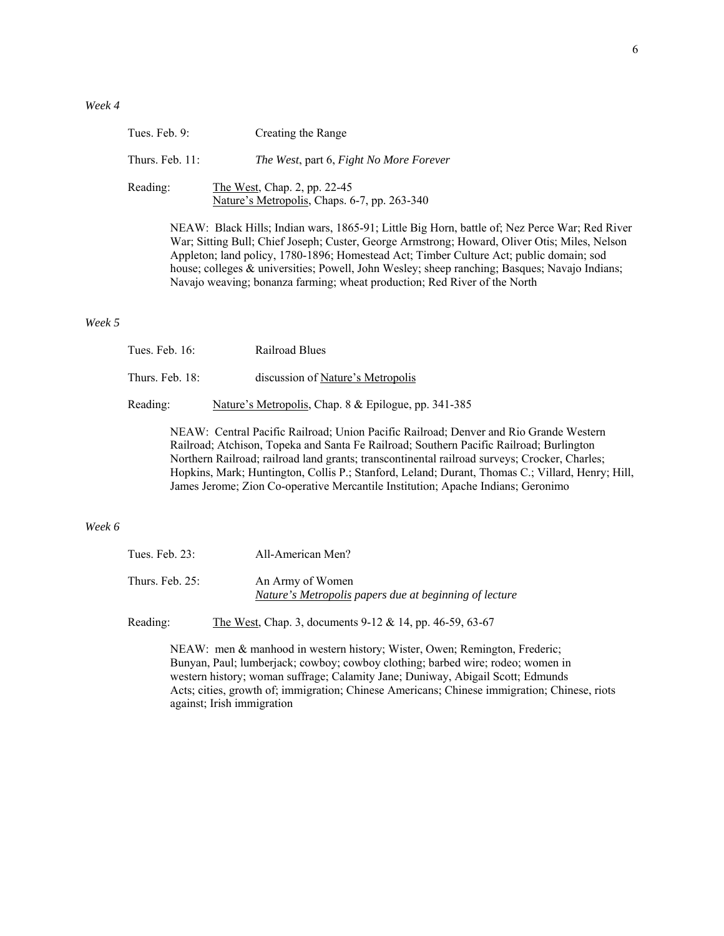| Tues. Feb. $9$ :   | Creating the Range                                                           |
|--------------------|------------------------------------------------------------------------------|
| Thurs. Feb. $11$ : | The West, part 6, Fight No More Forever                                      |
| Reading:           | The West, Chap. 2, pp. 22-45<br>Nature's Metropolis, Chaps. 6-7, pp. 263-340 |
|                    | NEAW: Black Hills; Indian wars, 1865-91; Little Big Horn                     |

orn, battle of; Nez Perce War; Red River War; Sitting Bull; Chief Joseph; Custer, George Armstrong; Howard, Oliver Otis; Miles, Nelson Appleton; land policy, 1780-1896; Homestead Act; Timber Culture Act; public domain; sod house; colleges & universities; Powell, John Wesley; sheep ranching; Basques; Navajo Indians; Navajo weaving; bonanza farming; wheat production; Red River of the North

#### *Week 5*

| Tues. Feb. $16$ : | Railroad Blues                                       |
|-------------------|------------------------------------------------------|
| Thurs. Feb. 18:   | discussion of Nature's Metropolis                    |
| Reading:          | Nature's Metropolis, Chap. 8 & Epilogue, pp. 341-385 |

NEAW: Central Pacific Railroad; Union Pacific Railroad; Denver and Rio Grande Western Railroad; Atchison, Topeka and Santa Fe Railroad; Southern Pacific Railroad; Burlington Northern Railroad; railroad land grants; transcontinental railroad surveys; Crocker, Charles; Hopkins, Mark; Huntington, Collis P.; Stanford, Leland; Durant, Thomas C.; Villard, Henry; Hill, James Jerome; Zion Co-operative Mercantile Institution; Apache Indians; Geronimo

# *Week 6*

| Tues. Feb. 23:     | All-American Men?                                                          |
|--------------------|----------------------------------------------------------------------------|
| Thurs. Feb. $25$ : | An Army of Women<br>Nature's Metropolis papers due at beginning of lecture |

Reading: The West, Chap. 3, documents 9-12 & 14, pp. 46-59, 63-67

NEAW: men & manhood in western history; Wister, Owen; Remington, Frederic; Bunyan, Paul; lumberjack; cowboy; cowboy clothing; barbed wire; rodeo; women in western history; woman suffrage; Calamity Jane; Duniway, Abigail Scott; Edmunds Acts; cities, growth of; immigration; Chinese Americans; Chinese immigration; Chinese, riots against; Irish immigration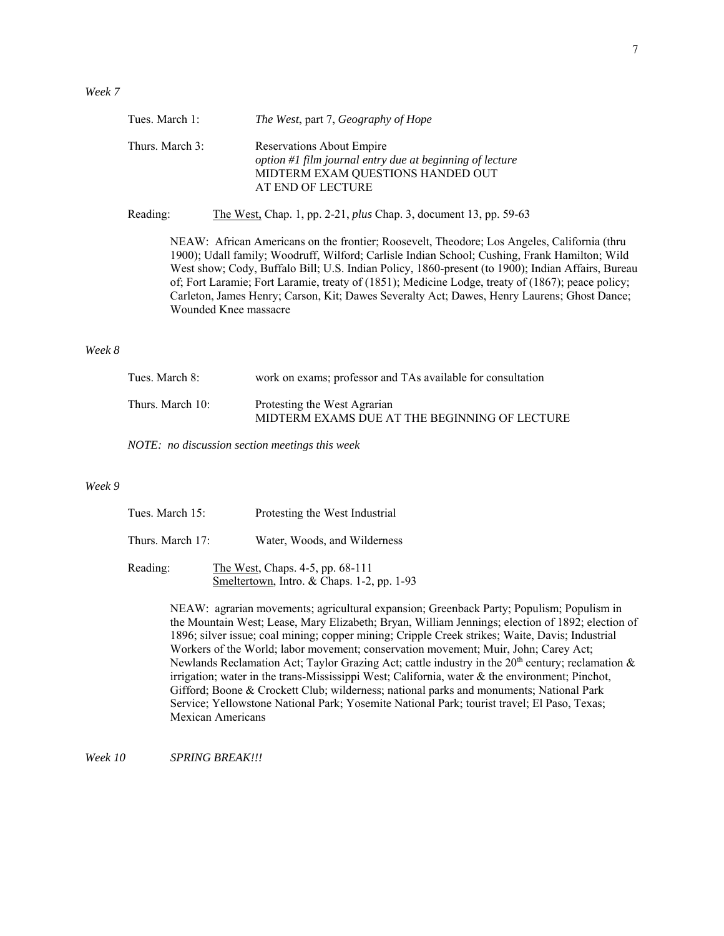|        | Tues. March 1:   | The West, part 7, Geography of Hope                                                                                                                                                                                                                                                                                                                                                                                                                                                                                            |
|--------|------------------|--------------------------------------------------------------------------------------------------------------------------------------------------------------------------------------------------------------------------------------------------------------------------------------------------------------------------------------------------------------------------------------------------------------------------------------------------------------------------------------------------------------------------------|
|        | Thurs. March 3:  | <b>Reservations About Empire</b><br>option #1 film journal entry due at beginning of lecture<br>MIDTERM EXAM QUESTIONS HANDED OUT<br>AT END OF LECTURE                                                                                                                                                                                                                                                                                                                                                                         |
|        | Reading:         | The West, Chap. 1, pp. 2-21, <i>plus</i> Chap. 3, document 13, pp. 59-63                                                                                                                                                                                                                                                                                                                                                                                                                                                       |
|        |                  | NEAW: African Americans on the frontier; Roosevelt, Theodore; Los Angeles, California (thru<br>1900); Udall family; Woodruff, Wilford; Carlisle Indian School; Cushing, Frank Hamilton; Wild<br>West show; Cody, Buffalo Bill; U.S. Indian Policy, 1860-present (to 1900); Indian Affairs, Bureau<br>of; Fort Laramie; Fort Laramie, treaty of (1851); Medicine Lodge, treaty of (1867); peace policy;<br>Carleton, James Henry; Carson, Kit; Dawes Severalty Act; Dawes, Henry Laurens; Ghost Dance;<br>Wounded Knee massacre |
| Week 8 |                  |                                                                                                                                                                                                                                                                                                                                                                                                                                                                                                                                |
|        | Tues. March 8:   | work on exams; professor and TAs available for consultation                                                                                                                                                                                                                                                                                                                                                                                                                                                                    |
|        | Thurs. March 10: | Protesting the West Agrarian<br>MIDTERM EXAMS DUE AT THE BEGINNING OF LECTURE                                                                                                                                                                                                                                                                                                                                                                                                                                                  |
|        |                  | NOTE: no discussion section meetings this week                                                                                                                                                                                                                                                                                                                                                                                                                                                                                 |

# *Week 9*

| Tues. March 15:  | Protesting the West Industrial                                                      |  |
|------------------|-------------------------------------------------------------------------------------|--|
| Thurs. March 17: | Water, Woods, and Wilderness                                                        |  |
| Reading:         | The West, Chaps. $4-5$ , pp. $68-111$<br>Smeltertown, Intro. & Chaps. 1-2, pp. 1-93 |  |

NEAW: agrarian movements; agricultural expansion; Greenback Party; Populism; Populism in the Mountain West; Lease, Mary Elizabeth; Bryan, William Jennings; election of 1892; election of 1896; silver issue; coal mining; copper mining; Cripple Creek strikes; Waite, Davis; Industrial Workers of the World; labor movement; conservation movement; Muir, John; Carey Act; Newlands Reclamation Act; Taylor Grazing Act; cattle industry in the  $20<sup>th</sup>$  century; reclamation  $\&$ irrigation; water in the trans-Mississippi West; California, water & the environment; Pinchot, Gifford; Boone & Crockett Club; wilderness; national parks and monuments; National Park Service; Yellowstone National Park; Yosemite National Park; tourist travel; El Paso, Texas; Mexican Americans

*Week 10 SPRING BREAK!!!*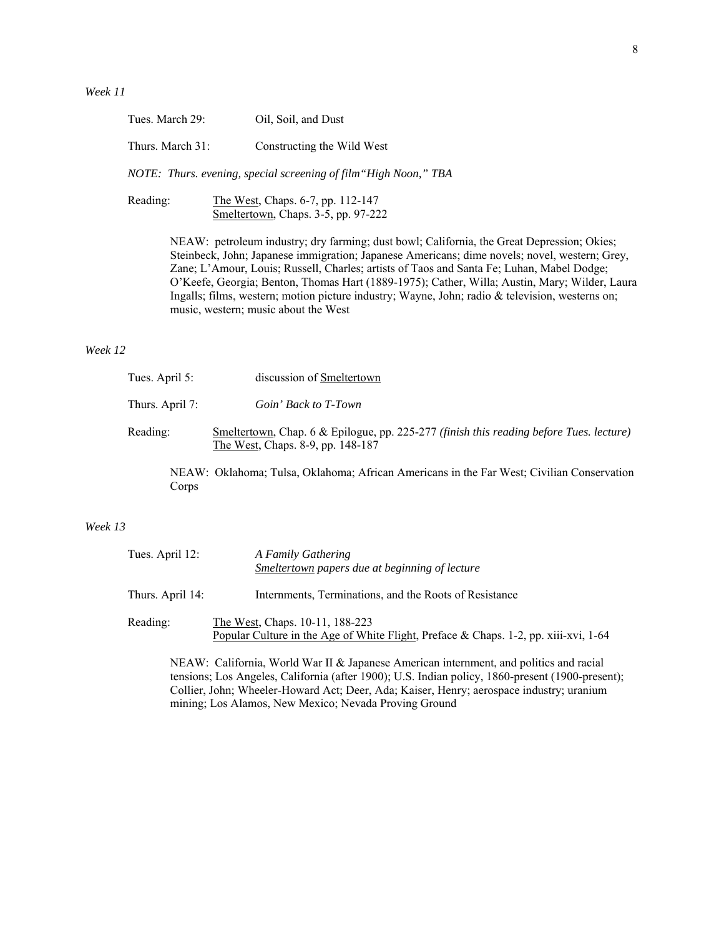| Tues. March 29:  | Oil, Soil, and Dust        |
|------------------|----------------------------|
| Thurs. March 31: | Constructing the Wild West |

 *NOTE: Thurs. evening, special screening of film"High Noon," TBA*

Reading: The West, Chaps. 6-7, pp. 112-147 Smeltertown, Chaps. 3-5, pp. 97-222

> NEAW: petroleum industry; dry farming; dust bowl; California, the Great Depression; Okies; Steinbeck, John; Japanese immigration; Japanese Americans; dime novels; novel, western; Grey, Zane; L'Amour, Louis; Russell, Charles; artists of Taos and Santa Fe; Luhan, Mabel Dodge; O'Keefe, Georgia; Benton, Thomas Hart (1889-1975); Cather, Willa; Austin, Mary; Wilder, Laura Ingalls; films, western; motion picture industry; Wayne, John; radio & television, westerns on; music, western; music about the West

# *Week 12*

| Tues. April 5:  | discussion of Smeltertown                                                                                                    |
|-----------------|------------------------------------------------------------------------------------------------------------------------------|
| Thurs. April 7: | Goin' Back to T-Town                                                                                                         |
| Reading:        | Smeltertown, Chap. 6 & Epilogue, pp. 225-277 (finish this reading before Tues. lecture)<br>The West, Chaps. 8-9, pp. 148-187 |
|                 | NEAW: Oklahoma; Tulsa, Oklahoma; African Americans in the Far West; Civilian Conservation                                    |

Corps

# *Week 13*

| Tues. April 12:  | A Family Gathering<br><b>Smeltertown papers due at beginning of lecture</b>                                             |
|------------------|-------------------------------------------------------------------------------------------------------------------------|
| Thurs. April 14: | Internments, Terminations, and the Roots of Resistance                                                                  |
| Reading:         | The West, Chaps. 10-11, 188-223<br>Popular Culture in the Age of White Flight, Preface & Chaps. 1-2, pp. xiii-xvi, 1-64 |

NEAW: California, World War II & Japanese American internment, and politics and racial tensions; Los Angeles, California (after 1900); U.S. Indian policy, 1860-present (1900-present); Collier, John; Wheeler-Howard Act; Deer, Ada; Kaiser, Henry; aerospace industry; uranium mining; Los Alamos, New Mexico; Nevada Proving Ground